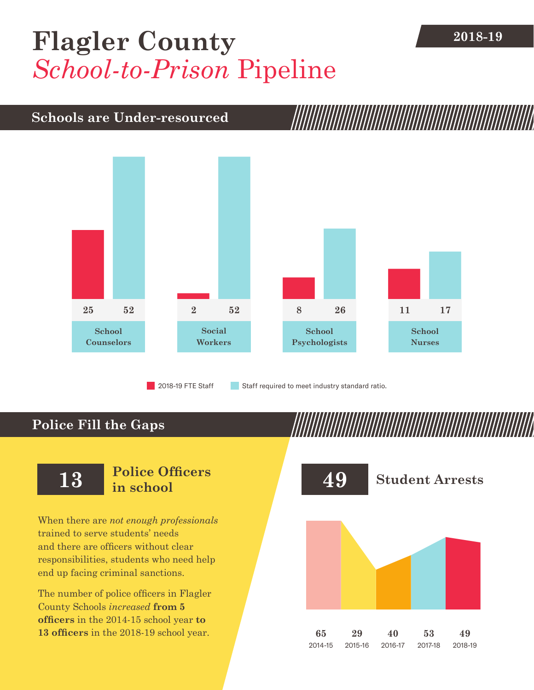## **2018-19 [Flagler County](DBF_County)** *School-to-Prison* Pipeline

## **Schools are Under-resourced**



**Police Fill the Gaps**

When there are *not enough professionals* trained to serve students' needs and there are officers without clear responsibilities, students who need help end up facing criminal sanctions.

The number of police officers in [Flagler](DBF_County)  [County](DBF_County) Schools *increased* **from [5](DBF_PO1415) officers** in the 2014-15 school year **to [13](DBF_PO) officers** in the 2018-19 school year.